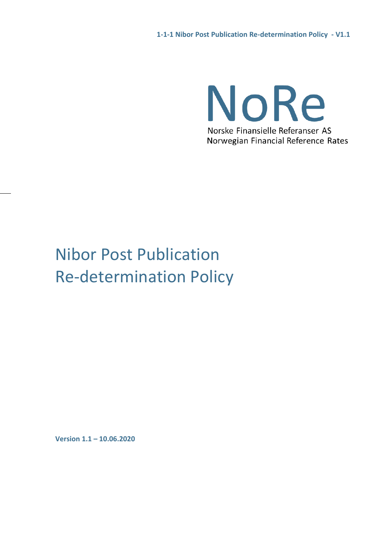NoRe Norske Finansielle Referanser AS Norwegian Financial Reference Rates

# Nibor Post Publication Re-determination Policy

**Version 1.1 – 10.06.2020**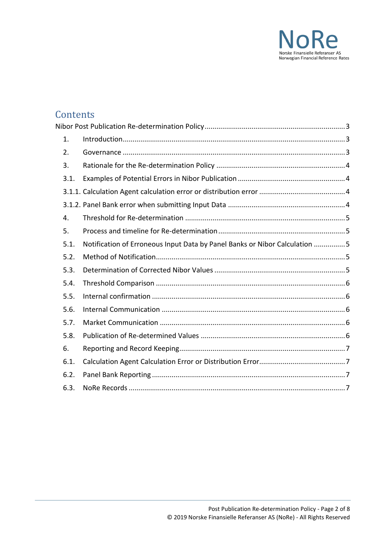

## **Contents**

|  | 1.   |                                                                            |  |  |  |  |
|--|------|----------------------------------------------------------------------------|--|--|--|--|
|  | 2.   |                                                                            |  |  |  |  |
|  | 3.   |                                                                            |  |  |  |  |
|  | 3.1. |                                                                            |  |  |  |  |
|  |      |                                                                            |  |  |  |  |
|  |      |                                                                            |  |  |  |  |
|  | 4.   |                                                                            |  |  |  |  |
|  | 5.   |                                                                            |  |  |  |  |
|  | 5.1. | Notification of Erroneous Input Data by Panel Banks or Nibor Calculation 5 |  |  |  |  |
|  | 5.2. |                                                                            |  |  |  |  |
|  | 5.3. |                                                                            |  |  |  |  |
|  | 5.4. |                                                                            |  |  |  |  |
|  | 5.5. |                                                                            |  |  |  |  |
|  | 5.6. |                                                                            |  |  |  |  |
|  | 5.7. |                                                                            |  |  |  |  |
|  | 5.8. |                                                                            |  |  |  |  |
|  | 6.   |                                                                            |  |  |  |  |
|  | 6.1. |                                                                            |  |  |  |  |
|  | 6.2. |                                                                            |  |  |  |  |
|  | 6.3. |                                                                            |  |  |  |  |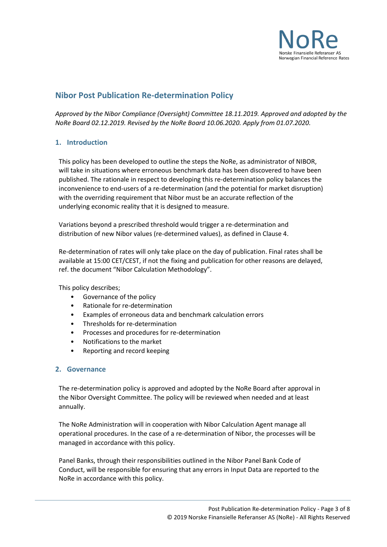

### <span id="page-2-0"></span>**Nibor Post Publication Re-determination Policy**

*Approved by the Nibor Compliance (Oversight) Committee 18.11.2019. Approved and adopted by the NoRe Board 02.12.2019. Revised by the NoRe Board 10.06.2020. Apply from 01.07.2020.*

#### <span id="page-2-1"></span>**1. Introduction**

This policy has been developed to outline the steps the NoRe, as administrator of NIBOR, will take in situations where erroneous benchmark data has been discovered to have been published. The rationale in respect to developing this re-determination policy balances the inconvenience to end-users of a re-determination (and the potential for market disruption) with the overriding requirement that Nibor must be an accurate reflection of the underlying economic reality that it is designed to measure.

Variations beyond a prescribed threshold would trigger a re-determination and distribution of new Nibor values (re-determined values), as defined in Clause 4.

Re-determination of rates will only take place on the day of publication. Final rates shall be available at 15:00 CET/CEST, if not the fixing and publication for other reasons are delayed, ref. the document "Nibor Calculation Methodology".

This policy describes;

- Governance of the policy
- Rationale for re-determination
- Examples of erroneous data and benchmark calculation errors
- Thresholds for re-determination
- Processes and procedures for re-determination
- Notifications to the market
- Reporting and record keeping

#### <span id="page-2-2"></span>**2. Governance**

The re-determination policy is approved and adopted by the NoRe Board after approval in the Nibor Oversight Committee. The policy will be reviewed when needed and at least annually.

The NoRe Administration will in cooperation with Nibor Calculation Agent manage all operational procedures. In the case of a re-determination of Nibor, the processes will be managed in accordance with this policy.

Panel Banks, through their responsibilities outlined in the Nibor Panel Bank Code of Conduct, will be responsible for ensuring that any errors in Input Data are reported to the NoRe in accordance with this policy.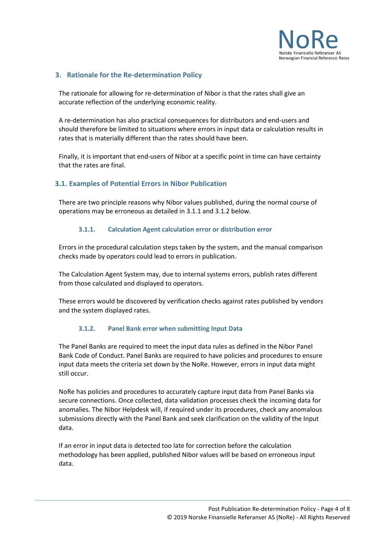

#### <span id="page-3-0"></span>**3. Rationale for the Re-determination Policy**

The rationale for allowing for re-determination of Nibor is that the rates shall give an accurate reflection of the underlying economic reality.

A re-determination has also practical consequences for distributors and end-users and should therefore be limited to situations where errors in input data or calculation results in rates that is materially different than the rates should have been.

Finally, it is important that end-users of Nibor at a specific point in time can have certainty that the rates are final.

#### <span id="page-3-1"></span>**3.1. Examples of Potential Errors in Nibor Publication**

There are two principle reasons why Nibor values published, during the normal course of operations may be erroneous as detailed in 3.1.1 and 3.1.2 below.

#### **3.1.1. Calculation Agent calculation error or distribution error**

<span id="page-3-2"></span>Errors in the procedural calculation steps taken by the system, and the manual comparison checks made by operators could lead to errors in publication.

The Calculation Agent System may, due to internal systems errors, publish rates different from those calculated and displayed to operators.

These errors would be discovered by verification checks against rates published by vendors and the system displayed rates.

#### **3.1.2. Panel Bank error when submitting Input Data**

<span id="page-3-3"></span>The Panel Banks are required to meet the input data rules as defined in the Nibor Panel Bank Code of Conduct. Panel Banks are required to have policies and procedures to ensure input data meets the criteria set down by the NoRe. However, errors in input data might still occur.

NoRe has policies and procedures to accurately capture input data from Panel Banks via secure connections. Once collected, data validation processes check the incoming data for anomalies. The Nibor Helpdesk will, if required under its procedures, check any anomalous submissions directly with the Panel Bank and seek clarification on the validity of the Input data.

If an error in input data is detected too late for correction before the calculation methodology has been applied, published Nibor values will be based on erroneous input data.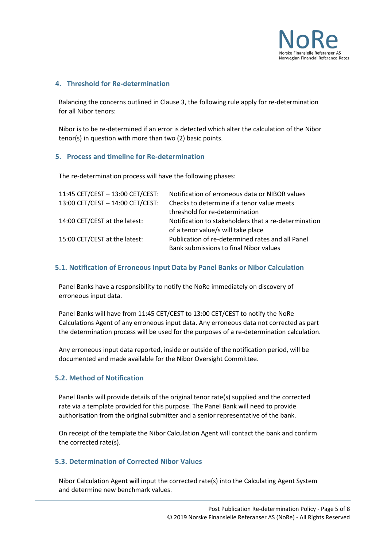

#### <span id="page-4-0"></span>**4. Threshold for Re-determination**

Balancing the concerns outlined in Clause 3, the following rule apply for re-determination for all Nibor tenors:

Nibor is to be re-determined if an error is detected which alter the calculation of the Nibor tenor(s) in question with more than two (2) basic points.

#### <span id="page-4-1"></span>**5. Process and timeline for Re-determination**

The re-determination process will have the following phases:

| 11:45 CET/CEST - 13:00 CET/CEST: | Notification of erroneous data or NIBOR values       |
|----------------------------------|------------------------------------------------------|
| 13:00 CET/CEST - 14:00 CET/CEST: | Checks to determine if a tenor value meets           |
|                                  | threshold for re-determination                       |
| 14:00 CET/CEST at the latest:    | Notification to stakeholders that a re-determination |
|                                  | of a tenor value/s will take place                   |
| 15:00 CET/CEST at the latest:    | Publication of re-determined rates and all Panel     |
|                                  | Bank submissions to final Nibor values               |

#### <span id="page-4-2"></span>**5.1. Notification of Erroneous Input Data by Panel Banks or Nibor Calculation**

Panel Banks have a responsibility to notify the NoRe immediately on discovery of erroneous input data.

Panel Banks will have from 11:45 CET/CEST to 13:00 CET/CEST to notify the NoRe Calculations Agent of any erroneous input data. Any erroneous data not corrected as part the determination process will be used for the purposes of a re-determination calculation.

Any erroneous input data reported, inside or outside of the notification period, will be documented and made available for the Nibor Oversight Committee.

#### <span id="page-4-3"></span>**5.2. Method of Notification**

Panel Banks will provide details of the original tenor rate(s) supplied and the corrected rate via a template provided for this purpose. The Panel Bank will need to provide authorisation from the original submitter and a senior representative of the bank.

On receipt of the template the Nibor Calculation Agent will contact the bank and confirm the corrected rate(s).

#### <span id="page-4-4"></span>**5.3. Determination of Corrected Nibor Values**

Nibor Calculation Agent will input the corrected rate(s) into the Calculating Agent System and determine new benchmark values.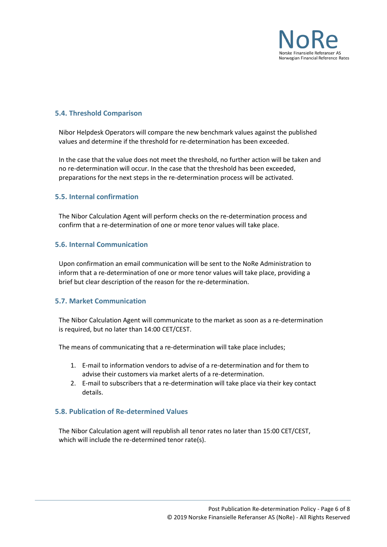

#### <span id="page-5-0"></span>**5.4. Threshold Comparison**

Nibor Helpdesk Operators will compare the new benchmark values against the published values and determine if the threshold for re-determination has been exceeded.

In the case that the value does not meet the threshold, no further action will be taken and no re-determination will occur. In the case that the threshold has been exceeded, preparations for the next steps in the re-determination process will be activated.

#### <span id="page-5-1"></span>**5.5. Internal confirmation**

The Nibor Calculation Agent will perform checks on the re-determination process and confirm that a re-determination of one or more tenor values will take place.

#### <span id="page-5-2"></span>**5.6. Internal Communication**

Upon confirmation an email communication will be sent to the NoRe Administration to inform that a re-determination of one or more tenor values will take place, providing a brief but clear description of the reason for the re-determination.

#### <span id="page-5-3"></span>**5.7. Market Communication**

The Nibor Calculation Agent will communicate to the market as soon as a re-determination is required, but no later than 14:00 CET/CEST.

The means of communicating that a re-determination will take place includes;

- 1. E-mail to information vendors to advise of a re-determination and for them to advise their customers via market alerts of a re-determination.
- 2. E-mail to subscribers that a re-determination will take place via their key contact details.

#### <span id="page-5-4"></span>**5.8. Publication of Re-determined Values**

The Nibor Calculation agent will republish all tenor rates no later than 15:00 CET/CEST, which will include the re-determined tenor rate(s).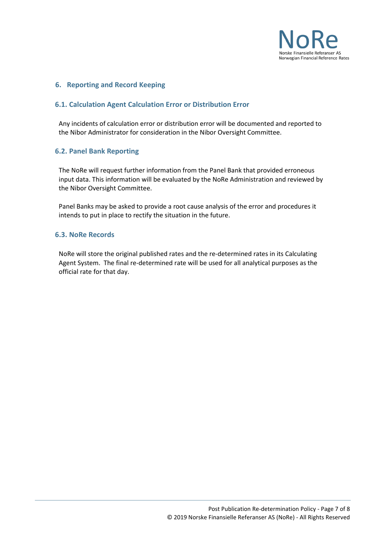

#### <span id="page-6-0"></span>**6. Reporting and Record Keeping**

#### <span id="page-6-1"></span>**6.1. Calculation Agent Calculation Error or Distribution Error**

Any incidents of calculation error or distribution error will be documented and reported to the Nibor Administrator for consideration in the Nibor Oversight Committee.

#### <span id="page-6-2"></span>**6.2. Panel Bank Reporting**

The NoRe will request further information from the Panel Bank that provided erroneous input data. This information will be evaluated by the NoRe Administration and reviewed by the Nibor Oversight Committee.

Panel Banks may be asked to provide a root cause analysis of the error and procedures it intends to put in place to rectify the situation in the future.

#### <span id="page-6-3"></span>**6.3. NoRe Records**

NoRe will store the original published rates and the re-determined rates in its Calculating Agent System. The final re-determined rate will be used for all analytical purposes as the official rate for that day.